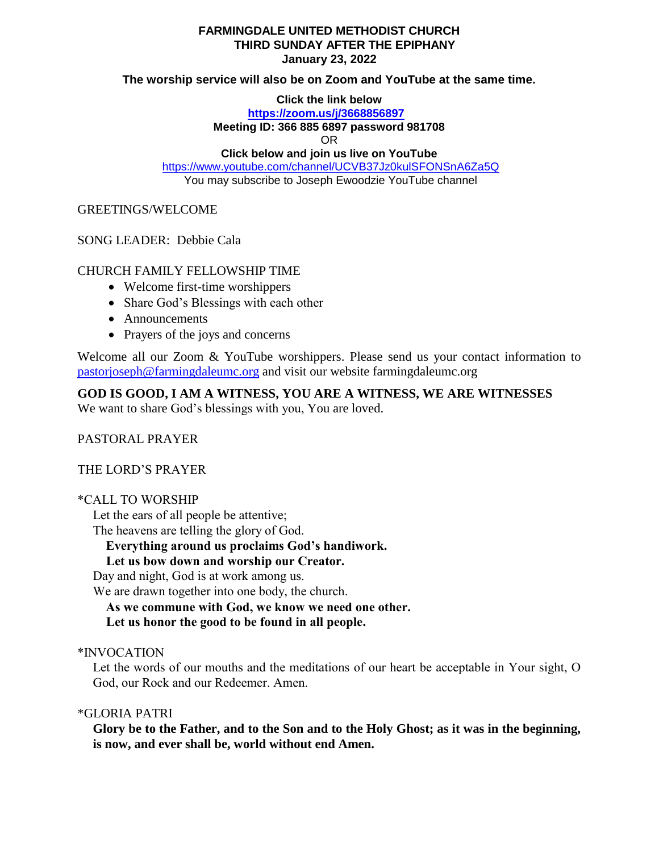### **FARMINGDALE UNITED METHODIST CHURCH THIRD SUNDAY AFTER THE EPIPHANY January 23, 2022**

### **The worship service will also be on Zoom and YouTube at the same time.**

**Click the link below**

**<https://zoom.us/j/3668856897>**

#### **Meeting ID: 366 885 6897 password 981708**

OR

# **Click below and join us live on YouTube**

<https://www.youtube.com/channel/UCVB37Jz0kulSFONSnA6Za5Q> You may subscribe to Joseph Ewoodzie YouTube channel

GREETINGS/WELCOME

SONG LEADER: Debbie Cala

# CHURCH FAMILY FELLOWSHIP TIME

- Welcome first-time worshippers
- Share God's Blessings with each other
- Announcements
- Prayers of the joys and concerns

Welcome all our Zoom & YouTube worshippers. Please send us your contact information to [pastorjoseph@farmingdaleumc.org](mailto:pastorjoseph@farmingdaleumc.org) and visit our website farmingdaleumc.org

**GOD IS GOOD, I AM A WITNESS, YOU ARE A WITNESS, WE ARE WITNESSES**

We want to share God's blessings with you, You are loved.

PASTORAL PRAYER

THE LORD'S PRAYER

# \*CALL TO WORSHIP

Let the ears of all people be attentive;

The heavens are telling the glory of God.

**Everything around us proclaims God's handiwork.**

# **Let us bow down and worship our Creator.**

Day and night, God is at work among us.

We are drawn together into one body, the church.

 **As we commune with God, we know we need one other. Let us honor the good to be found in all people.**

# \*INVOCATION

Let the words of our mouths and the meditations of our heart be acceptable in Your sight, O God, our Rock and our Redeemer. Amen.

# \*GLORIA PATRI

**Glory be to the Father, and to the Son and to the Holy Ghost; as it was in the beginning, is now, and ever shall be, world without end Amen.**